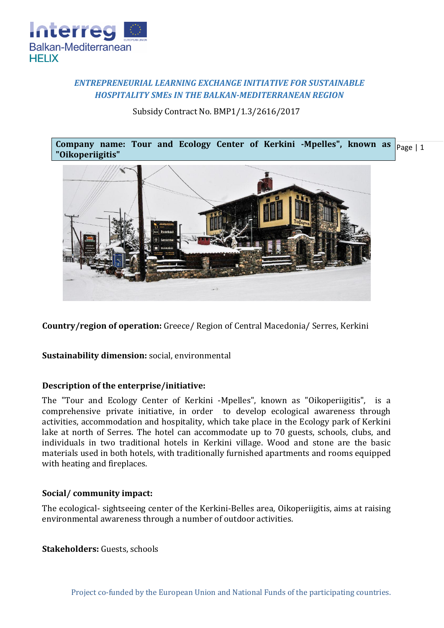

# *ENTREPRENEURIAL LEARNING EXCHANGE INITIATIVE FOR SUSTAINABLE HOSPITALITY SMEs IN THE BALKAN-MEDITERRANEAN REGION*

Subsidy Contract No. BMP1/1.3/2616/2017





**Country/region of operation:** Greece/ Region of Central Macedonia/ Serres, Kerkini

**Sustainability dimension:** social, environmental

### **Description of the enterprise/initiative:**

The "Tour and Ecology Center of Kerkini -Mpelles", known as "Oikoperiigitis", is a comprehensive private initiative, in order to develop ecological awareness through activities, accommodation and hospitality, which take place in the Ecology park of Kerkini lake at north of Serres. The hotel can accommodate up to 70 guests, schools, clubs, and individuals in two traditional hotels in Kerkini village. Wood and stone are the basic materials used in both hotels, with traditionally furnished apartments and rooms equipped with heating and fireplaces.

### **Social/ community impact:**

The ecological- sightseeing center of the Kerkini-Belles area, Oikoperiigitis, aims at raising environmental awareness through a number of outdoor activities.

**Stakeholders:** Guests, schools